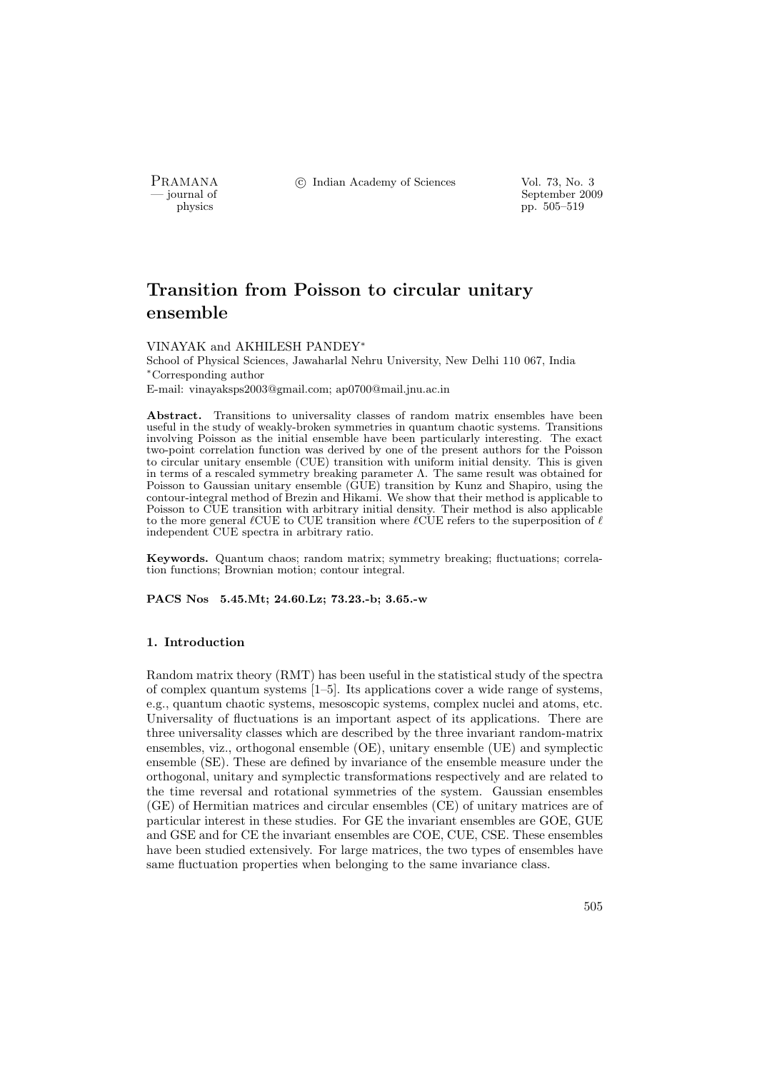PRAMANA <sup>C</sup> Indian Academy of Sciences Vol. 73, No. 3<br>
— iournal of September 200

position of the september 2009 of the September 2009 of the September 2009 of the September 2009 pp. 505–519

# Transition from Poisson to circular unitary ensemble

### VINAYAK and AKHILESH PANDEY<sup>∗</sup>

School of Physical Sciences, Jawaharlal Nehru University, New Delhi 110 067, India <sup>∗</sup>Corresponding author E-mail: vinayaksps2003@gmail.com; ap0700@mail.jnu.ac.in

Abstract. Transitions to universality classes of random matrix ensembles have been useful in the study of weakly-broken symmetries in quantum chaotic systems. Transitions involving Poisson as the initial ensemble have been particularly interesting. The exact two-point correlation function was derived by one of the present authors for the Poisson to circular unitary ensemble (CUE) transition with uniform initial density. This is given in terms of a rescaled symmetry breaking parameter  $\Lambda$ . The same result was obtained for Poisson to Gaussian unitary ensemble (GUE) transition by Kunz and Shapiro, using the contour-integral method of Brezin and Hikami. We show that their method is applicable to Poisson to CUE transition with arbitrary initial density. Their method is also applicable to the more general  $\ell$ CUE to CUE transition where  $\ell$ CUE refers to the superposition of  $\ell$ independent CUE spectra in arbitrary ratio.

Keywords. Quantum chaos; random matrix; symmetry breaking; fluctuations; correlation functions; Brownian motion; contour integral.

PACS Nos 5.45.Mt; 24.60.Lz; 73.23.-b; 3.65.-w

### 1. Introduction

Random matrix theory (RMT) has been useful in the statistical study of the spectra of complex quantum systems  $[1–5]$ . Its applications cover a wide range of systems, e.g., quantum chaotic systems, mesoscopic systems, complex nuclei and atoms, etc. Universality of fluctuations is an important aspect of its applications. There are three universality classes which are described by the three invariant random-matrix ensembles, viz., orthogonal ensemble (OE), unitary ensemble (UE) and symplectic ensemble (SE). These are defined by invariance of the ensemble measure under the orthogonal, unitary and symplectic transformations respectively and are related to the time reversal and rotational symmetries of the system. Gaussian ensembles (GE) of Hermitian matrices and circular ensembles (CE) of unitary matrices are of particular interest in these studies. For GE the invariant ensembles are GOE, GUE and GSE and for CE the invariant ensembles are COE, CUE, CSE. These ensembles have been studied extensively. For large matrices, the two types of ensembles have same fluctuation properties when belonging to the same invariance class.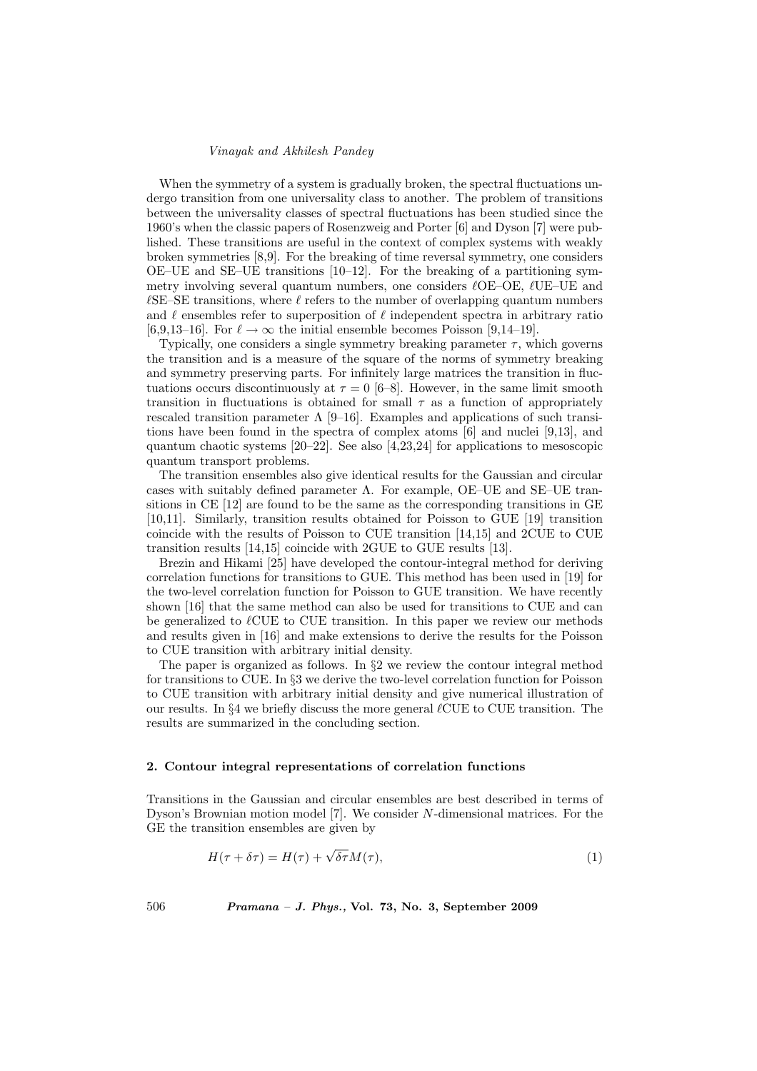When the symmetry of a system is gradually broken, the spectral fluctuations undergo transition from one universality class to another. The problem of transitions between the universality classes of spectral fluctuations has been studied since the 1960's when the classic papers of Rosenzweig and Porter [6] and Dyson [7] were published. These transitions are useful in the context of complex systems with weakly broken symmetries [8,9]. For the breaking of time reversal symmetry, one considers OE–UE and SE–UE transitions [10–12]. For the breaking of a partitioning symmetry involving several quantum numbers, one considers  $\ell$ OE–OE,  $\ell$ UE–UE and  $\ell$ SE–SE transitions, where  $\ell$  refers to the number of overlapping quantum numbers and  $\ell$  ensembles refer to superposition of  $\ell$  independent spectra in arbitrary ratio [6,9,13–16]. For  $\ell \to \infty$  the initial ensemble becomes Poisson [9,14–19].

Typically, one considers a single symmetry breaking parameter  $\tau$ , which governs the transition and is a measure of the square of the norms of symmetry breaking and symmetry preserving parts. For infinitely large matrices the transition in fluctuations occurs discontinuously at  $\tau = 0$  [6–8]. However, in the same limit smooth transition in fluctuations is obtained for small  $\tau$  as a function of appropriately rescaled transition parameter  $\Lambda$  [9–16]. Examples and applications of such transitions have been found in the spectra of complex atoms [6] and nuclei [9,13], and quantum chaotic systems [20–22]. See also [4,23,24] for applications to mesoscopic quantum transport problems.

The transition ensembles also give identical results for the Gaussian and circular cases with suitably defined parameter  $\Lambda$ . For example, OE–UE and SE–UE transitions in CE [12] are found to be the same as the corresponding transitions in GE [10,11]. Similarly, transition results obtained for Poisson to GUE [19] transition coincide with the results of Poisson to CUE transition [14,15] and 2CUE to CUE transition results [14,15] coincide with 2GUE to GUE results [13].

Brezin and Hikami [25] have developed the contour-integral method for deriving correlation functions for transitions to GUE. This method has been used in [19] for the two-level correlation function for Poisson to GUE transition. We have recently shown [16] that the same method can also be used for transitions to CUE and can be generalized to  $\ell$ CUE to CUE transition. In this paper we review our methods and results given in [16] and make extensions to derive the results for the Poisson to CUE transition with arbitrary initial density.

The paper is organized as follows. In §2 we review the contour integral method for transitions to CUE. In §3 we derive the two-level correlation function for Poisson to CUE transition with arbitrary initial density and give numerical illustration of our results. In  $\S4$  we briefly discuss the more general  $\ell$ CUE to CUE transition. The results are summarized in the concluding section.

#### 2. Contour integral representations of correlation functions

Transitions in the Gaussian and circular ensembles are best described in terms of Dyson's Brownian motion model [7]. We consider N-dimensional matrices. For the GE the transition ensembles are given by

$$
H(\tau + \delta \tau) = H(\tau) + \sqrt{\delta \tau} M(\tau), \tag{1}
$$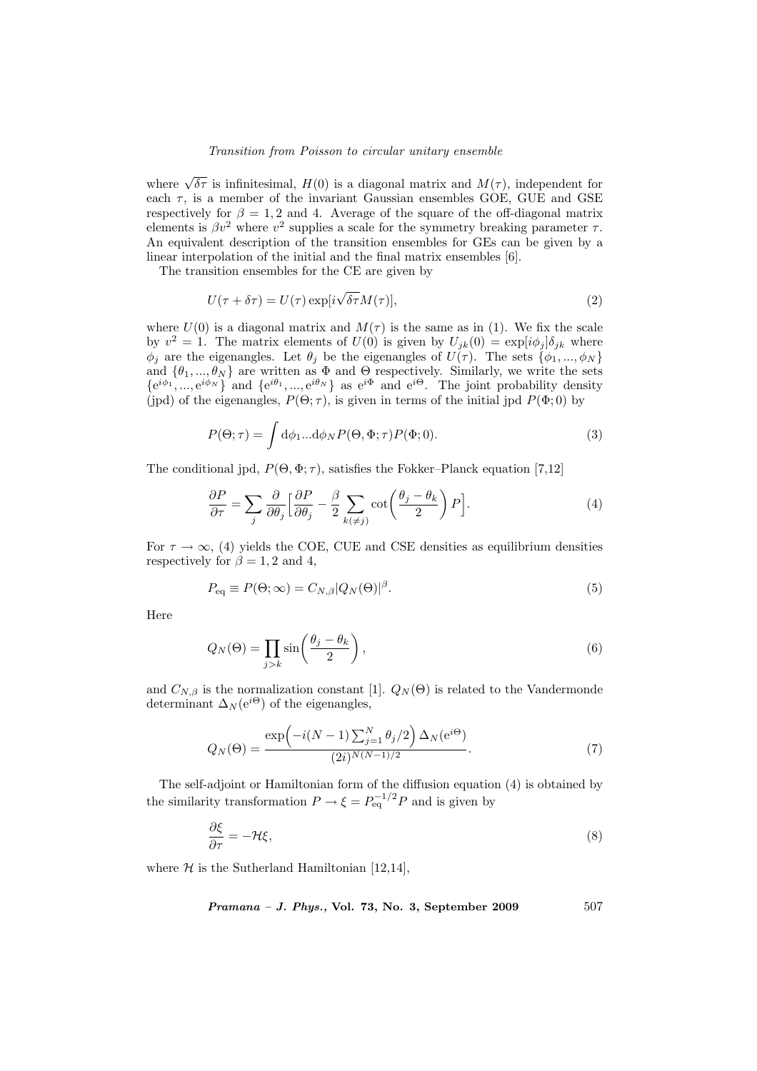where  $\sqrt{\delta\tau}$  is infinitesimal,  $H(0)$  is a diagonal matrix and  $M(\tau)$ , independent for each  $\tau$ , is a member of the invariant Gaussian ensembles GOE, GUE and GSE respectively for  $\beta = 1, 2$  and 4. Average of the square of the off-diagonal matrix elements is  $\beta v^2$  where  $v^2$  supplies a scale for the symmetry breaking parameter  $\tau$ . An equivalent description of the transition ensembles for GEs can be given by a linear interpolation of the initial and the final matrix ensembles [6].

The transition ensembles for the CE are given by

$$
U(\tau + \delta \tau) = U(\tau) \exp[i\sqrt{\delta \tau} M(\tau)],
$$
\n(2)

where  $U(0)$  is a diagonal matrix and  $M(\tau)$  is the same as in (1). We fix the scale by  $v^2 = 1$ . The matrix elements of  $U(0)$  is given by  $U_{jk}(0) = \exp[i\phi_j]\delta_{jk}$  where  $\phi_j$  are the eigenangles. Let  $\theta_j$  be the eigenangles of  $U(\tau)$ . The sets  $\{\phi_1, ..., \phi_N\}$ and  $\{\theta_1, ..., \theta_N\}$  are written as  $\Phi$  and  $\Theta$  respectively. Similarly, we write the sets  ${e^{i\phi_1},...,e^{i\phi_N}}$  and  ${e^{i\theta_1},...,e^{i\theta_N}}$  as  $e^{i\Phi}$  and  $e^{i\Theta}$ . The joint probability density (jpd) of the eigenangles,  $P(\Theta; \tau)$ , is given in terms of the initial jpd  $P(\Phi; 0)$  by

$$
P(\Theta; \tau) = \int d\phi_1 ... d\phi_N P(\Theta, \Phi; \tau) P(\Phi; 0).
$$
\n(3)

The conditional jpd,  $P(\Theta, \Phi; \tau)$ , satisfies the Fokker–Planck equation [7,12]

$$
\frac{\partial P}{\partial \tau} = \sum_{j} \frac{\partial}{\partial \theta_{j}} \left[ \frac{\partial P}{\partial \theta_{j}} - \frac{\beta}{2} \sum_{k(\neq j)} \cot \left( \frac{\theta_{j} - \theta_{k}}{2} \right) P \right]. \tag{4}
$$

For  $\tau \to \infty$ , (4) yields the COE, CUE and CSE densities as equilibrium densities respectively for  $\beta = 1, 2$  and 4,

$$
P_{\text{eq}} \equiv P(\Theta; \infty) = C_{N,\beta} |Q_N(\Theta)|^{\beta}.
$$
\n(5)

Here

$$
Q_N(\Theta) = \prod_{j>k} \sin\left(\frac{\theta_j - \theta_k}{2}\right),\tag{6}
$$

and  $C_{N,\beta}$  is the normalization constant [1].  $Q_N(\Theta)$  is related to the Vandermonde determinant  $\Delta_N(e^{i\Theta})$  of the eigenangles,

$$
Q_N(\Theta) = \frac{\exp\left(-i(N-1)\sum_{j=1}^N \theta_j/2\right) \Delta_N(e^{i\Theta})}{(2i)^{N(N-1)/2}}.
$$
 (7)

The self-adjoint or Hamiltonian form of the diffusion equation (4) is obtained by the similarity transformation  $P \to \xi = P_{\text{eq}}^{-1/2} P$  and is given by

$$
\frac{\partial \xi}{\partial \tau} = -\mathcal{H}\xi,\tag{8}
$$

where  $H$  is the Sutherland Hamiltonian [12,14],

$$
Pramana - J. Phys., Vol. 73, No. 3, September 2009 \qquad 507
$$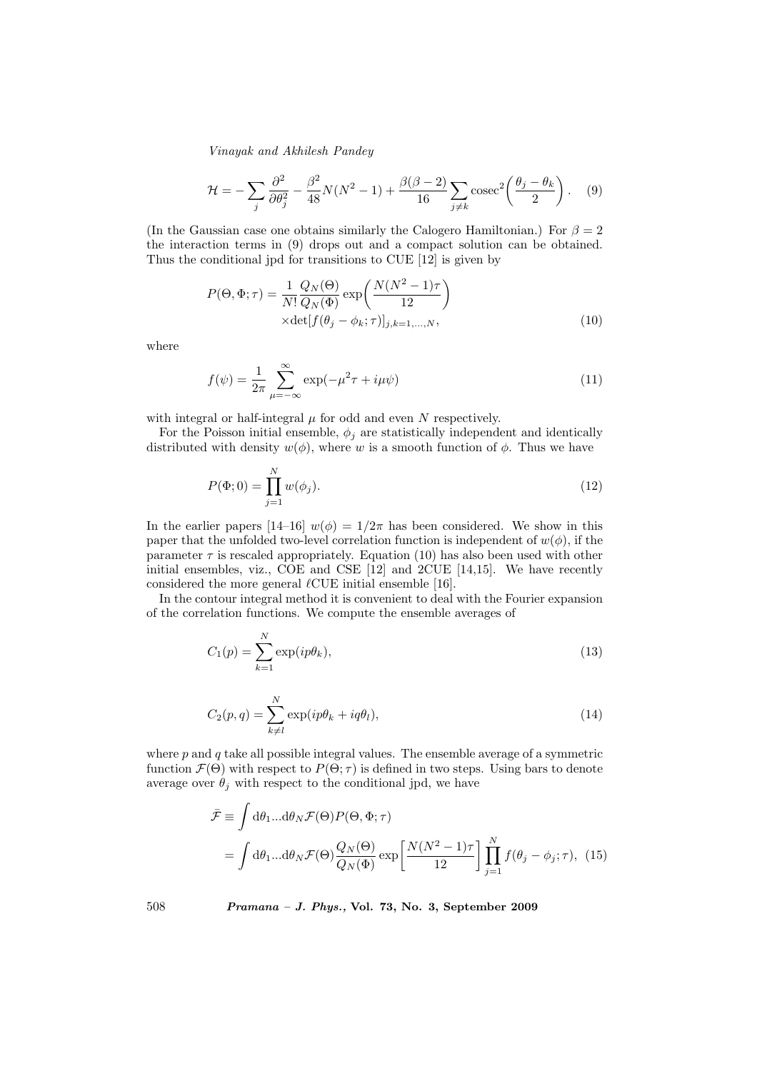$$
\mathcal{H} = -\sum_{j} \frac{\partial^2}{\partial \theta_j^2} - \frac{\beta^2}{48} N(N^2 - 1) + \frac{\beta(\beta - 2)}{16} \sum_{j \neq k} \csc^2 \left( \frac{\theta_j - \theta_k}{2} \right). \tag{9}
$$

(In the Gaussian case one obtains similarly the Calogero Hamiltonian.) For  $\beta = 2$ the interaction terms in (9) drops out and a compact solution can be obtained. Thus the conditional jpd for transitions to CUE [12] is given by

$$
P(\Theta, \Phi; \tau) = \frac{1}{N!} \frac{Q_N(\Theta)}{Q_N(\Phi)} \exp\left(\frac{N(N^2 - 1)\tau}{12}\right)
$$

$$
\times \det[f(\theta_j - \phi_k; \tau)]_{j,k=1,\dots,N},
$$
(10)

where

$$
f(\psi) = \frac{1}{2\pi} \sum_{\mu = -\infty}^{\infty} \exp(-\mu^2 \tau + i\mu\psi)
$$
 (11)

with integral or half-integral  $\mu$  for odd and even N respectively.

For the Poisson initial ensemble,  $\phi_j$  are statistically independent and identically distributed with density  $w(\phi)$ , where w is a smooth function of  $\phi$ . Thus we have

$$
P(\Phi;0) = \prod_{j=1}^{N} w(\phi_j).
$$
 (12)

In the earlier papers  $[14-16]$   $w(\phi) = 1/2\pi$  has been considered. We show in this paper that the unfolded two-level correlation function is independent of  $w(\phi)$ , if the parameter  $\tau$  is rescaled appropriately. Equation (10) has also been used with other initial ensembles, viz., COE and CSE [12] and 2CUE [14,15]. We have recently considered the more general  $\ell$ CUE initial ensemble [16].

In the contour integral method it is convenient to deal with the Fourier expansion of the correlation functions. We compute the ensemble averages of

$$
C_1(p) = \sum_{k=1}^{N} \exp(ip\theta_k),\tag{13}
$$

$$
C_2(p,q) = \sum_{k \neq l}^{N} \exp(ip\theta_k + iq\theta_l),\tag{14}
$$

where  $p$  and  $q$  take all possible integral values. The ensemble average of a symmetric function  $\mathcal{F}(\Theta)$  with respect to  $P(\Theta; \tau)$  is defined in two steps. Using bars to denote average over  $\theta_j$  with respect to the conditional jpd, we have

$$
\bar{\mathcal{F}} \equiv \int d\theta_1 ... d\theta_N \mathcal{F}(\Theta) P(\Theta, \Phi; \tau)
$$
  
= 
$$
\int d\theta_1 ... d\theta_N \mathcal{F}(\Theta) \frac{Q_N(\Theta)}{Q_N(\Phi)} \exp\left[\frac{N(N^2 - 1)\tau}{12}\right] \prod_{j=1}^N f(\theta_j - \phi_j; \tau), (15)
$$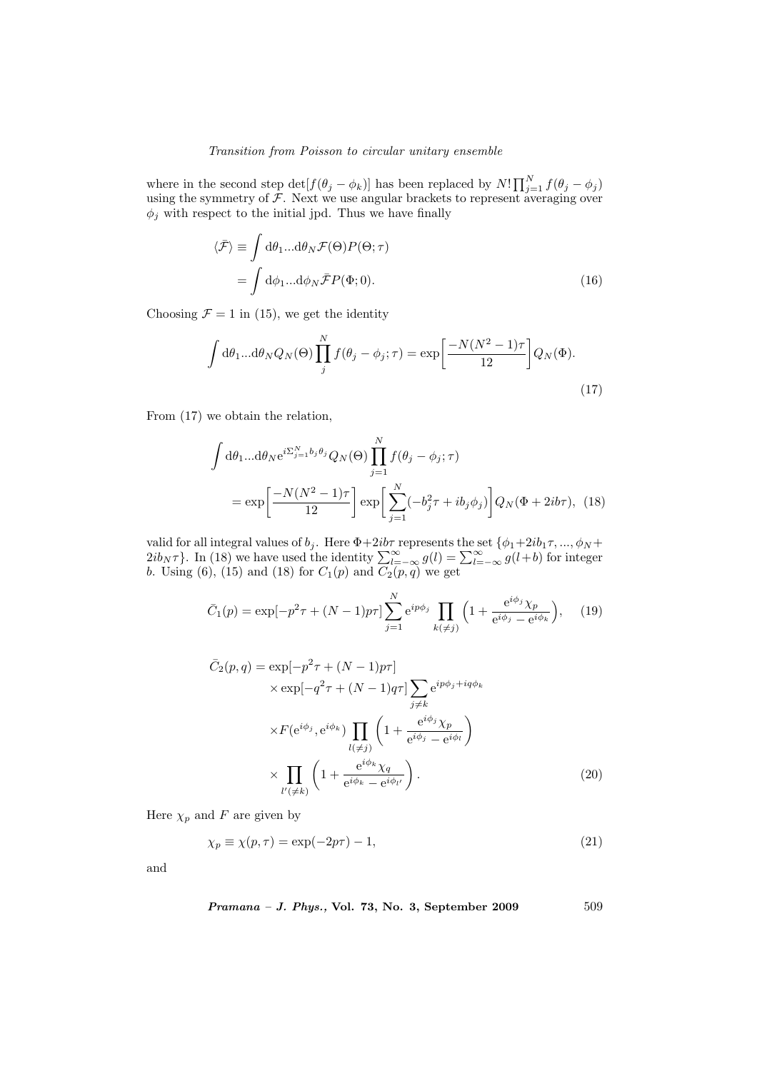where in the second step  $det[f(\theta_j - \phi_k)]$  has been replaced by  $N! \prod_{j=1}^N f(\theta_j - \phi_j)$ using the symmetry of  $\mathcal F$ . Next we use angular brackets to represent averaging over  $\phi_j$  with respect to the initial jpd. Thus we have finally

$$
\langle \bar{\mathcal{F}} \rangle \equiv \int d\theta_1 ... d\theta_N \mathcal{F}(\Theta) P(\Theta; \tau)
$$

$$
= \int d\phi_1 ... d\phi_N \bar{\mathcal{F}} P(\Phi; 0). \tag{16}
$$

Choosing  $\mathcal{F} = 1$  in (15), we get the identity

$$
\int d\theta_1 \dots d\theta_N Q_N(\Theta) \prod_j^N f(\theta_j - \phi_j; \tau) = \exp\left[\frac{-N(N^2 - 1)\tau}{12}\right] Q_N(\Phi).
$$
\n(17)

From (17) we obtain the relation,

$$
\int d\theta_1 ... d\theta_N e^{i\Sigma_{j=1}^N b_j \theta_j} Q_N(\Theta) \prod_{j=1}^N f(\theta_j - \phi_j; \tau)
$$
  
= 
$$
\exp \left[ \frac{-N(N^2 - 1)\tau}{12} \right] \exp \left[ \sum_{j=1}^N (-b_j^2 \tau + ib_j \phi_j) \right] Q_N(\Phi + 2ib\tau), \quad (18)
$$

valid for all integral values of  $b_j$ . Here  $\Phi+2ib\tau$  represents the set  $\{\phi_1+2ib_1\tau, ..., \phi_N+2ib_N\tau\}$ . In (18) we have used the identity  $\sum_{l=-\infty}^{\infty} g(l) = \sum_{l=-\infty}^{\infty} g(l+b)$  for integer b. Using (6), (15) and (18) for  $C_1(p)$  and  $C_2(p,q)$  we get

$$
\bar{C}_1(p) = \exp[-p^2 \tau + (N-1)p\tau] \sum_{j=1}^N e^{ip\phi_j} \prod_{k(\neq j)} \left(1 + \frac{e^{i\phi_j} \chi_p}{e^{i\phi_j} - e^{i\phi_k}}\right), \quad (19)
$$

$$
\bar{C}_2(p,q) = \exp[-p^2 \tau + (N-1)p\tau] \times \exp[-q^2 \tau + (N-1)q\tau] \sum_{j \neq k} e^{ip\phi_j + iq\phi_k}
$$

$$
\times F(e^{i\phi_j}, e^{i\phi_k}) \prod_{l(\neq j)} \left(1 + \frac{e^{i\phi_j} \chi_p}{e^{i\phi_j} - e^{i\phi_l}}\right)
$$

$$
\times \prod_{l'(\neq k)} \left(1 + \frac{e^{i\phi_k} \chi_q}{e^{i\phi_k} - e^{i\phi_{l'}}}\right).
$$
(20)

Here  $\chi_p$  and F are given by

$$
\chi_p \equiv \chi(p, \tau) = \exp(-2p\tau) - 1,\tag{21}
$$

and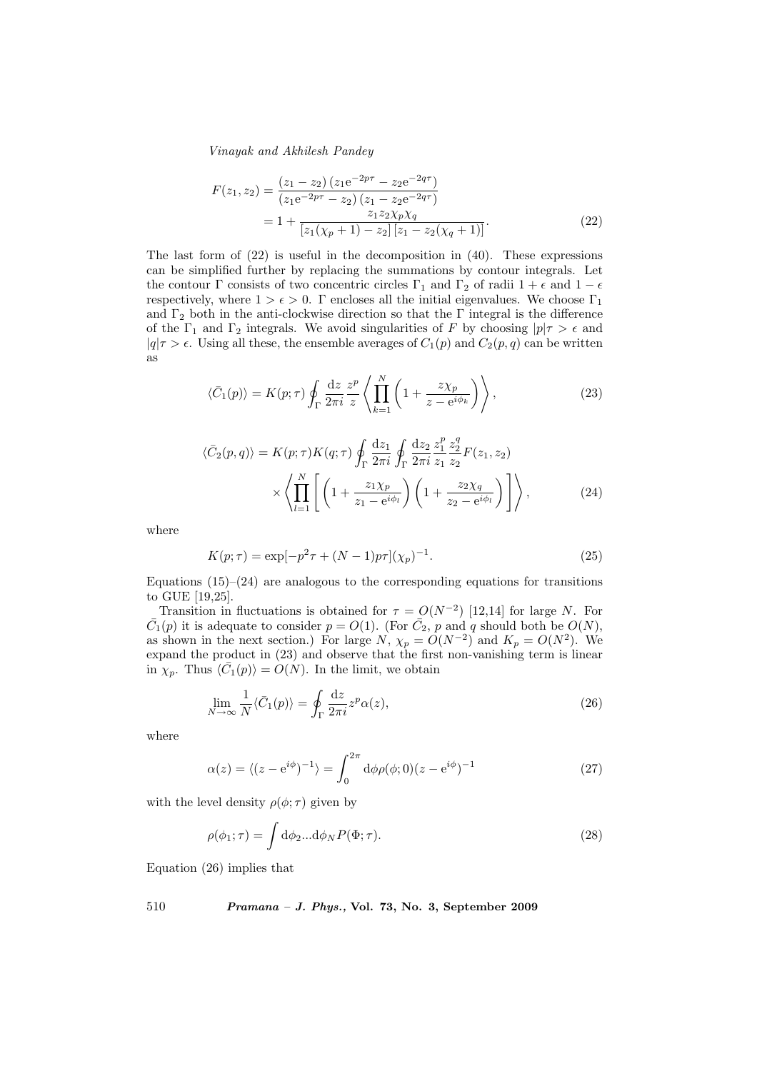$$
F(z_1, z_2) = \frac{(z_1 - z_2)(z_1 e^{-2p\tau} - z_2 e^{-2q\tau})}{(z_1 e^{-2p\tau} - z_2)(z_1 - z_2 e^{-2q\tau})}
$$
  
= 
$$
1 + \frac{z_1 z_2 \chi_p \chi_q}{[z_1(\chi_p + 1) - z_2][z_1 - z_2(\chi_q + 1)]}.
$$
 (22)

The last form of (22) is useful in the decomposition in (40). These expressions can be simplified further by replacing the summations by contour integrals. Let the contour  $\Gamma$  consists of two concentric circles  $\Gamma_1$  and  $\Gamma_2$  of radii  $1 + \epsilon$  and  $1 - \epsilon$ respectively, where  $1 > \epsilon > 0$ . Γ encloses all the initial eigenvalues. We choose  $\Gamma_1$ and  $\Gamma_2$  both in the anti-clockwise direction so that the  $\Gamma$  integral is the difference of the  $\Gamma_1$  and  $\Gamma_2$  integrals. We avoid singularities of F by choosing  $|p|\tau > \epsilon$  and  $|q|\tau > \epsilon$ . Using all these, the ensemble averages of  $C_1(p)$  and  $C_2(p,q)$  can be written as

$$
\langle \bar{C}_1(p) \rangle = K(p; \tau) \oint_{\Gamma} \frac{dz}{2\pi i} \frac{z^p}{z} \left\langle \prod_{k=1}^N \left( 1 + \frac{z \chi_p}{z - e^{i\phi_k}} \right) \right\rangle, \tag{23}
$$

$$
\langle \bar{C}_2(p,q) \rangle = K(p;\tau)K(q;\tau) \oint_{\Gamma} \frac{dz_1}{2\pi i} \oint_{\Gamma} \frac{dz_2}{2\pi i} \frac{z_1^p}{z_1} \frac{z_2^q}{z_2} F(z_1, z_2)
$$

$$
\times \left\langle \prod_{l=1}^N \left[ \left( 1 + \frac{z_1 \chi_p}{z_1 - e^{i\phi_l}} \right) \left( 1 + \frac{z_2 \chi_q}{z_2 - e^{i\phi_l}} \right) \right] \right\rangle, \tag{24}
$$

where

$$
K(p; \tau) = \exp[-p^2 \tau + (N-1)p\tau](\chi_p)^{-1}.
$$
\n(25)

Equations  $(15)-(24)$  are analogous to the corresponding equations for transitions to GUE [19,25].

Transition in fluctuations is obtained for  $\tau = O(N^{-2})$  [12,14] for large N. For  $\bar{C}_1(p)$  it is adequate to consider  $p = O(1)$ . (For  $\bar{C}_2$ , p and q should both be  $O(N)$ , as shown in the next section.) For large  $N$ ,  $\chi_p = O(N^{-2})$  and  $K_p = O(N^2)$ . We expand the product in (23) and observe that the first non-vanishing term is linear in  $\chi_p$ . Thus  $\langle \bar{C}_1(p) \rangle = O(N)$ . In the limit, we obtain

$$
\lim_{N \to \infty} \frac{1}{N} \langle \bar{C}_1(p) \rangle = \oint_{\Gamma} \frac{\mathrm{d}z}{2\pi i} z^p \alpha(z),\tag{26}
$$

where

$$
\alpha(z) = \langle (z - e^{i\phi})^{-1} \rangle = \int_0^{2\pi} d\phi \rho(\phi; 0) (z - e^{i\phi})^{-1}
$$
 (27)

with the level density  $\rho(\phi; \tau)$  given by

$$
\rho(\phi_1; \tau) = \int d\phi_2 ... d\phi_N P(\Phi; \tau). \tag{28}
$$

Equation (26) implies that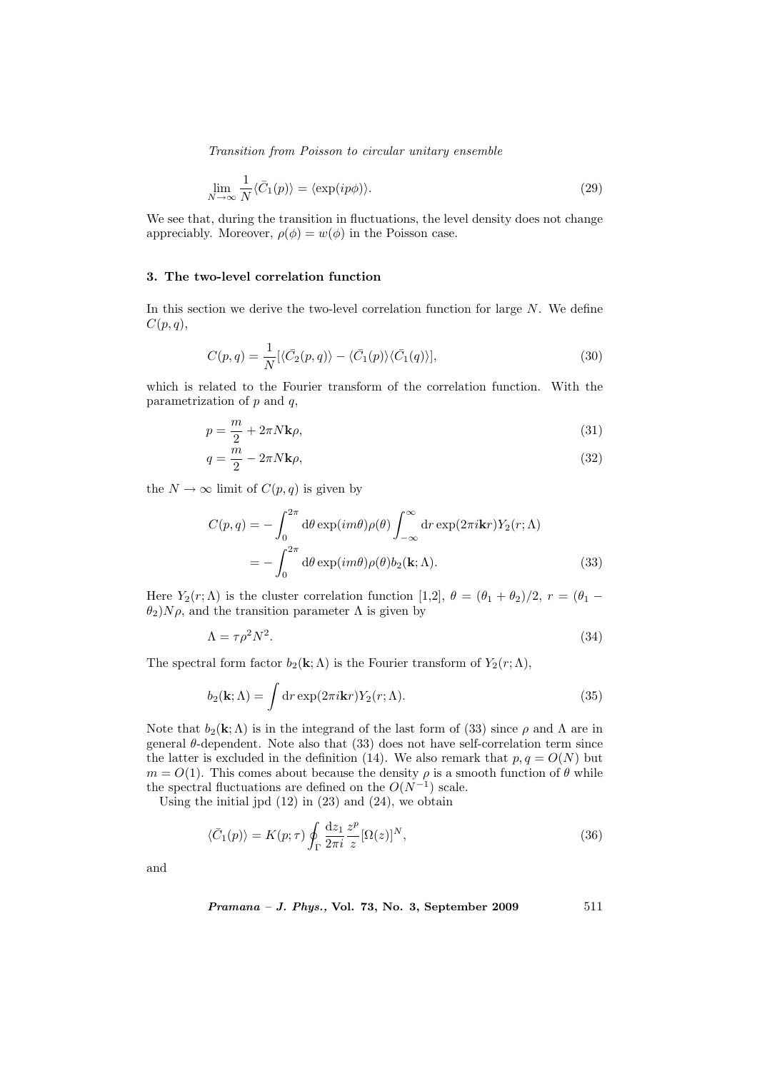$$
\lim_{N \to \infty} \frac{1}{N} \langle \bar{C}_1(p) \rangle = \langle \exp(ip\phi) \rangle. \tag{29}
$$

We see that, during the transition in fluctuations, the level density does not change appreciably. Moreover,  $\rho(\phi) = w(\phi)$  in the Poisson case.

# 3. The two-level correlation function

In this section we derive the two-level correlation function for large  $N$ . We define  $C(p,q),$ 

$$
C(p,q) = \frac{1}{N} [\langle \bar{C}_2(p,q) \rangle - \langle \bar{C}_1(p) \rangle \langle \bar{C}_1(q) \rangle], \tag{30}
$$

which is related to the Fourier transform of the correlation function. With the parametrization of  $p$  and  $q$ ,

$$
p = \frac{m}{2} + 2\pi N \mathbf{k} \rho,\tag{31}
$$

$$
q = \frac{m}{2} - 2\pi N \mathbf{k} \rho,\tag{32}
$$

the  $N \to \infty$  limit of  $C(p, q)$  is given by

$$
C(p,q) = -\int_0^{2\pi} d\theta \exp(im\theta)\rho(\theta) \int_{-\infty}^{\infty} dr \exp(2\pi i \mathbf{k}r) Y_2(r;\Lambda)
$$

$$
= -\int_0^{2\pi} d\theta \exp(im\theta)\rho(\theta)b_2(\mathbf{k};\Lambda).
$$
(33)

Here  $Y_2(r; \Lambda)$  is the cluster correlation function [1,2],  $\theta = (\theta_1 + \theta_2)/2$ ,  $r = (\theta_1 - \Lambda)$  $\theta_2$ )N $\rho$ , and the transition parameter  $\Lambda$  is given by

$$
\Lambda = \tau \rho^2 N^2. \tag{34}
$$

The spectral form factor  $b_2(\mathbf{k}; \Lambda)$  is the Fourier transform of  $Y_2(r; \Lambda)$ ,

$$
b_2(\mathbf{k}; \Lambda) = \int \mathrm{d}r \exp(2\pi i \mathbf{k}r) Y_2(r; \Lambda).
$$
 (35)

Note that  $b_2(\mathbf{k}; \Lambda)$  is in the integrand of the last form of (33) since  $\rho$  and  $\Lambda$  are in general  $\theta$ -dependent. Note also that  $(33)$  does not have self-correlation term since the latter is excluded in the definition (14). We also remark that  $p, q = O(N)$  but  $m = O(1)$ . This comes about because the density  $\rho$  is a smooth function of  $\theta$  while the spectral fluctuations are defined on the  $O(N^{-1})$  scale.

Using the initial jpd  $(12)$  in  $(23)$  and  $(24)$ , we obtain

$$
\langle \bar{C}_1(p) \rangle = K(p; \tau) \oint_{\Gamma} \frac{dz_1}{2\pi i} \frac{z^p}{z} [\Omega(z)]^N,
$$
\n(36)

and

$$
Pramana - J. Phys., Vol. 73, No. 3, September 2009 \qquad 511
$$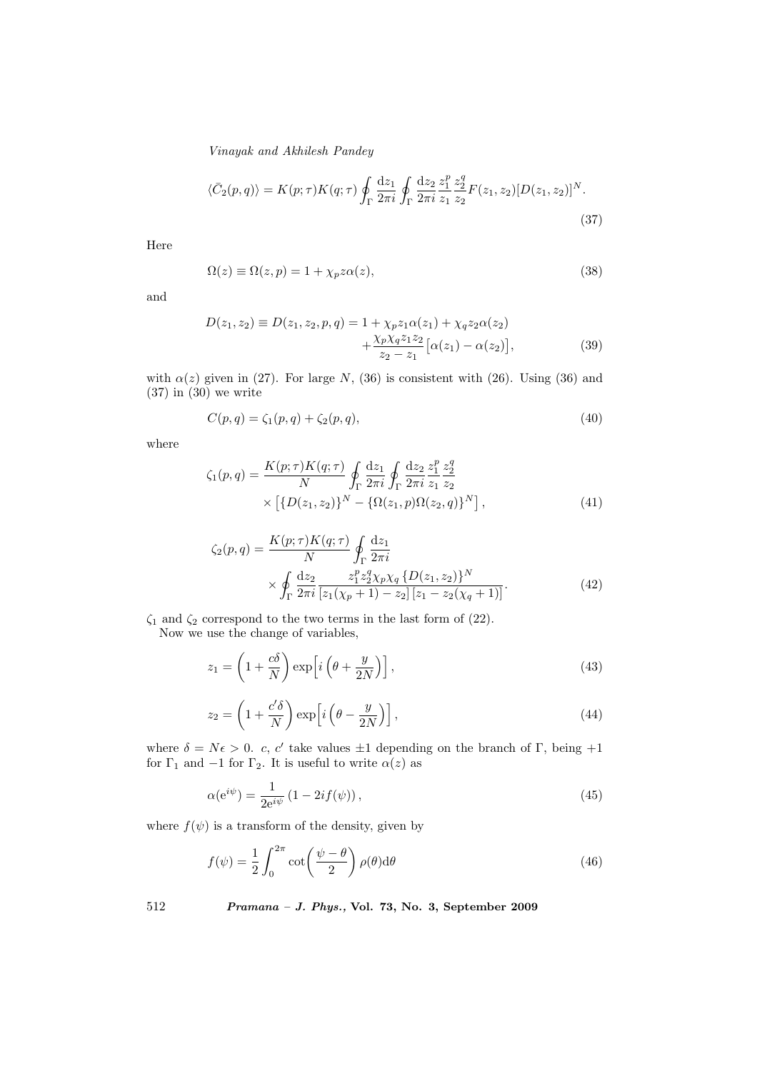$$
\langle \bar{C}_2(p,q) \rangle = K(p;\tau)K(q;\tau) \oint_{\Gamma} \frac{dz_1}{2\pi i} \oint_{\Gamma} \frac{dz_2}{2\pi i} \frac{z_1^p}{z_1} \frac{z_2^q}{z_2} F(z_1,z_2) [D(z_1,z_2)]^N.
$$
\n(37)

Here

$$
\Omega(z) \equiv \Omega(z, p) = 1 + \chi_p z \alpha(z), \tag{38}
$$

and

$$
D(z_1, z_2) \equiv D(z_1, z_2, p, q) = 1 + \chi_p z_1 \alpha(z_1) + \chi_q z_2 \alpha(z_2)
$$
  
 
$$
+ \frac{\chi_p \chi_q z_1 z_2}{z_2 - z_1} [\alpha(z_1) - \alpha(z_2)], \qquad (39)
$$

with  $\alpha(z)$  given in (27). For large N, (36) is consistent with (26). Using (36) and (37) in (30) we write

$$
C(p,q) = \zeta_1(p,q) + \zeta_2(p,q),\tag{40}
$$

where

$$
\zeta_1(p,q) = \frac{K(p;\tau)K(q;\tau)}{N} \oint_{\Gamma} \frac{dz_1}{2\pi i} \oint_{\Gamma} \frac{dz_2}{2\pi i} \frac{z_1^p}{z_1} \frac{z_2^q}{z_2} \times \left[ \{ D(z_1,z_2) \}^N - \{ \Omega(z_1,p) \Omega(z_2,q) \}^N \right],
$$
\n(41)

$$
\zeta_2(p,q) = \frac{K(p;\tau)K(q;\tau)}{N} \oint_{\Gamma} \frac{dz_1}{2\pi i} \times \oint_{\Gamma} \frac{dz_2}{2\pi i} \frac{z_1^p z_2^q \chi_p \chi_q \{D(z_1,z_2)\}^N}{[z_1(\chi_p+1) - z_2][z_1 - z_2(\chi_q+1)]}.
$$
\n(42)

 $\zeta_1$  and  $\zeta_2$  correspond to the two terms in the last form of (22).

Now we use the change of variables,

$$
z_1 = \left(1 + \frac{c\delta}{N}\right) \exp\left[i\left(\theta + \frac{y}{2N}\right)\right],\tag{43}
$$

$$
z_2 = \left(1 + \frac{c'\delta}{N}\right) \exp\left[i\left(\theta - \frac{y}{2N}\right)\right],\tag{44}
$$

where  $\delta = N\epsilon > 0$ . c, c' take values  $\pm 1$  depending on the branch of  $\Gamma$ , being  $+1$ for  $\Gamma_1$  and  $-1$  for  $\Gamma_2$ . It is useful to write  $\alpha(z)$  as

$$
\alpha(e^{i\psi}) = \frac{1}{2e^{i\psi}} \left(1 - 2if(\psi)\right),\tag{45}
$$

where  $f(\psi)$  is a transform of the density, given by

$$
f(\psi) = \frac{1}{2} \int_0^{2\pi} \cot\left(\frac{\psi - \theta}{2}\right) \rho(\theta) d\theta
$$
 (46)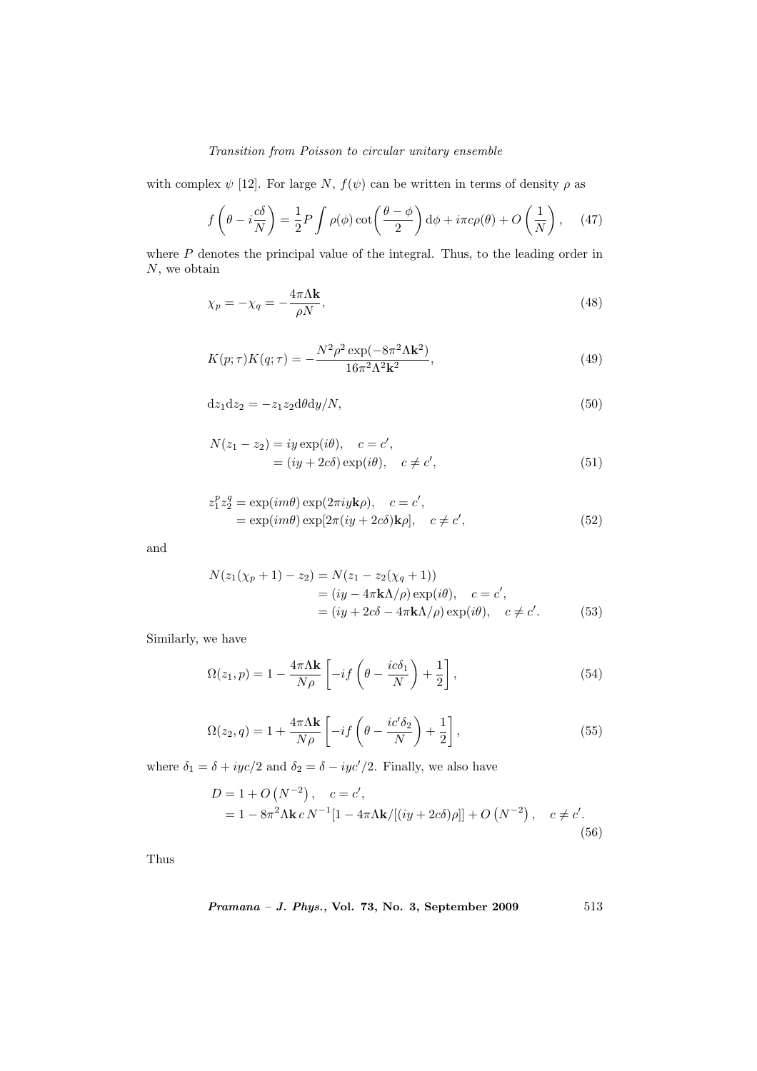with complex  $\psi$  [12]. For large N,  $f(\psi)$  can be written in terms of density  $\rho$  as

$$
f\left(\theta - i\frac{c\delta}{N}\right) = \frac{1}{2}P\int \rho(\phi)\cot\left(\frac{\theta - \phi}{2}\right)d\phi + i\pi c\rho(\theta) + O\left(\frac{1}{N}\right), \quad (47)
$$

where  $P$  denotes the principal value of the integral. Thus, to the leading order in  $N,$  we obtain

$$
\chi_p = -\chi_q = -\frac{4\pi\Lambda k}{\rho N},\tag{48}
$$

$$
K(p; \tau)K(q; \tau) = -\frac{N^2 \rho^2 \exp(-8\pi^2 \Lambda k^2)}{16\pi^2 \Lambda^2 k^2},\tag{49}
$$

$$
dz_1 dz_2 = -z_1 z_2 d\theta dy / N,\t\t(50)
$$

$$
N(z_1 - z_2) = iy \exp(i\theta), \quad c = c',
$$
  
=  $(iy + 2c\delta) \exp(i\theta), \quad c \neq c',$  (51)

$$
z_1^p z_2^q = \exp(im\theta) \exp(2\pi i y \mathbf{k}\rho), \quad c = c',
$$
  
=  $\exp(im\theta) \exp[2\pi (iy + 2c\delta)\mathbf{k}\rho], \quad c \neq c',$  (52)

and

$$
N(z_1(\chi_p + 1) - z_2) = N(z_1 - z_2(\chi_q + 1))
$$
  
=  $(iy - 4\pi k\Lambda/\rho) \exp(i\theta), \quad c = c',$   
=  $(iy + 2c\delta - 4\pi k\Lambda/\rho) \exp(i\theta), \quad c \neq c'.$  (53)

Similarly, we have

$$
\Omega(z_1, p) = 1 - \frac{4\pi\Lambda k}{N\rho} \left[ -if\left(\theta - \frac{ic\delta_1}{N}\right) + \frac{1}{2} \right],\tag{54}
$$

$$
\Omega(z_2, q) = 1 + \frac{4\pi\Lambda k}{N\rho} \left[ -if\left(\theta - \frac{ic'\delta_2}{N}\right) + \frac{1}{2} \right],\tag{55}
$$

where  $\delta_1 = \delta + iyc/2$  and  $\delta_2 = \delta - iyc'/2.$  Finally, we also have

$$
D = 1 + O(N^{-2}), \quad c = c',
$$
  
= 1 - 8\pi^{2} \Lambda k c N^{-1} [1 - 4\pi \Lambda k/[(iy + 2c\delta)\rho]] + O(N^{-2}), \quad c \neq c'. (56)

Thus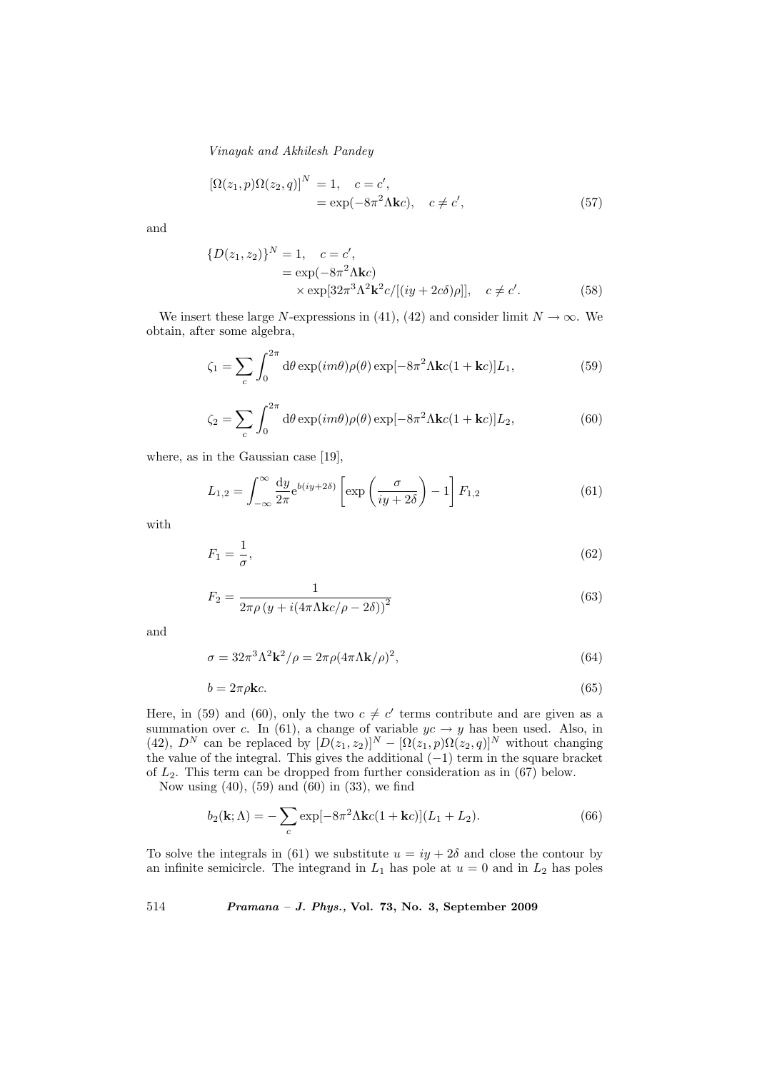$$
[\Omega(z_1, p)\Omega(z_2, q)]^N = 1, \quad c = c',
$$
  
=  $\exp(-8\pi^2 \Lambda k c), \quad c \neq c',$  (57)

and

$$
\{D(z_1, z_2)\}^N = 1, \quad c = c',
$$
  
=  $\exp(-8\pi^2 \Lambda k c)$   
 $\times \exp[32\pi^3 \Lambda^2 k^2 c/[(iy + 2c\delta)\rho]], \quad c \neq c'.$  (58)

We insert these large N-expressions in (41), (42) and consider limit  $N \to \infty$ . We obtain, after some algebra,

$$
\zeta_1 = \sum_c \int_0^{2\pi} d\theta \exp(im\theta) \rho(\theta) \exp[-8\pi^2 \Lambda \mathbf{k} c (1 + \mathbf{k} c)] L_1,
$$
\n(59)

$$
\zeta_2 = \sum_c \int_0^{2\pi} d\theta \exp(im\theta) \rho(\theta) \exp[-8\pi^2 \Lambda \mathbf{k} c (1 + \mathbf{k} c)] L_2,
$$
\n(60)

where, as in the Gaussian case [19],

$$
L_{1,2} = \int_{-\infty}^{\infty} \frac{dy}{2\pi} e^{b(iy+2\delta)} \left[ \exp\left(\frac{\sigma}{iy+2\delta}\right) - 1 \right] F_{1,2}
$$
 (61)

with

$$
F_1 = \frac{1}{\sigma},\tag{62}
$$

$$
F_2 = \frac{1}{2\pi\rho\left(y + i(4\pi\Lambda\mathbf{k}c/\rho - 2\delta)\right)^2}
$$
\n(63)

and

$$
\sigma = 32\pi^3 \Lambda^2 \mathbf{k}^2 / \rho = 2\pi \rho (4\pi \Lambda \mathbf{k} / \rho)^2,
$$
\n(64)

$$
b = 2\pi \rho \mathbf{k}c. \tag{65}
$$

Here, in (59) and (60), only the two  $c \neq c'$  terms contribute and are given as a summation over c. In (61), a change of variable  $yc \rightarrow y$  has been used. Also, in (42),  $D^N$  can be replaced by  $[D(z_1, z_2)]^N - [\Omega(z_1, p)\Omega(z_2, q)]^N$  without changing the value of the integral. This gives the additional (−1) term in the square bracket of  $L_2$ . This term can be dropped from further consideration as in (67) below.

Now using (40), (59) and (60) in (33), we find

$$
b_2(\mathbf{k}; \Lambda) = -\sum_c \exp[-8\pi^2 \Lambda \mathbf{k} c (1 + \mathbf{k} c)] (L_1 + L_2).
$$
 (66)

To solve the integrals in (61) we substitute  $u = iy + 2\delta$  and close the contour by an infinite semicircle. The integrand in  $L_1$  has pole at  $u = 0$  and in  $L_2$  has poles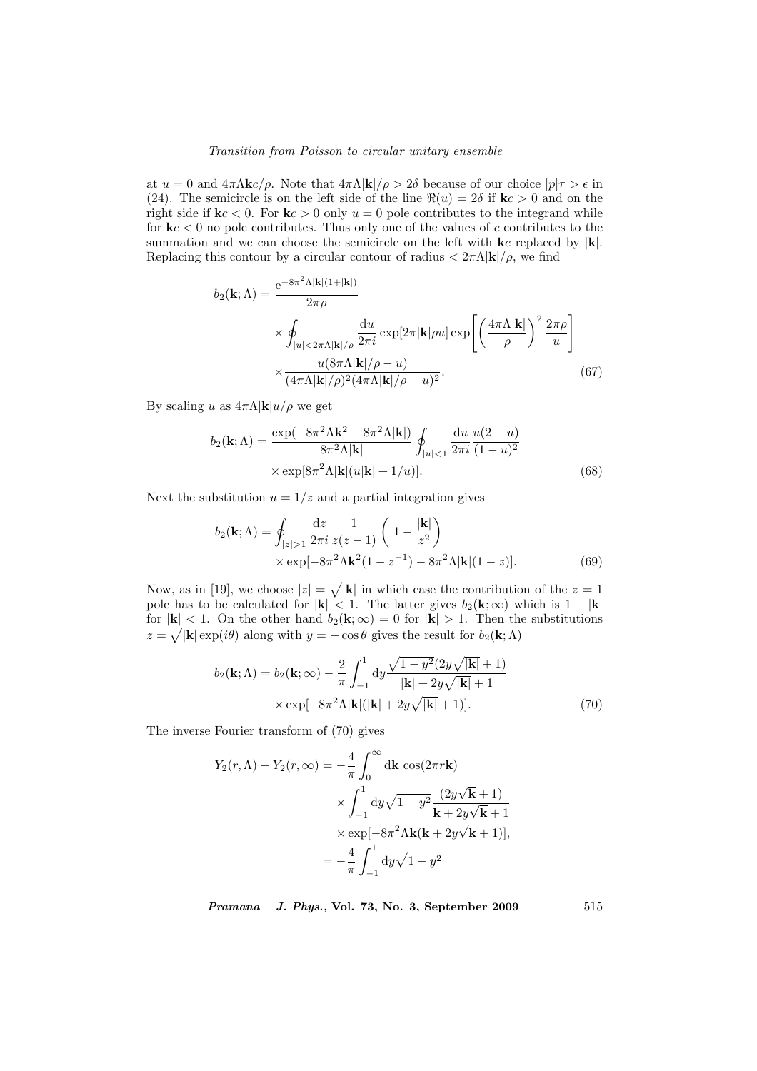at  $u = 0$  and  $4\pi \Lambda k c/\rho$ . Note that  $4\pi \Lambda k/\rho > 2\delta$  because of our choice  $|p|\tau > \epsilon$  in (24). The semicircle is on the left side of the line  $\Re(u) = 2\delta$  if  $\mathbf{k}c > 0$  and on the right side if  $kc < 0$ . For  $kc > 0$  only  $u = 0$  pole contributes to the integrand while for  $kc < 0$  no pole contributes. Thus only one of the values of c contributes to the summation and we can choose the semicircle on the left with  $\mathbf{k}c$  replaced by  $|\mathbf{k}|$ . Replacing this contour by a circular contour of radius  $\langle 2\pi\Lambda |{\bf k}|/\rho$ , we find

$$
b_2(\mathbf{k};\Lambda) = \frac{e^{-8\pi^2\Lambda|\mathbf{k}|(1+|\mathbf{k}|)}}{2\pi\rho} \times \oint_{|u| < 2\pi\Lambda|\mathbf{k}|/\rho} \frac{du}{2\pi i} \exp[2\pi|\mathbf{k}|\rho u] \exp\left[\left(\frac{4\pi\Lambda|\mathbf{k}|}{\rho}\right)^2 \frac{2\pi\rho}{u}\right] \times \frac{u(8\pi\Lambda|\mathbf{k}|/\rho - u)}{(4\pi\Lambda|\mathbf{k}|/\rho)^2 (4\pi\Lambda|\mathbf{k}|/\rho - u)^2}.
$$
\n(67)

By scaling u as  $4πΛ|\mathbf{k}|u/\rho$  we get

$$
b_2(\mathbf{k};\Lambda) = \frac{\exp(-8\pi^2\Lambda \mathbf{k}^2 - 8\pi^2\Lambda |\mathbf{k}|)}{8\pi^2\Lambda |\mathbf{k}|} \oint_{|u| < 1} \frac{\mathrm{d}u}{2\pi i} \frac{u(2-u)}{(1-u)^2} \times \exp[8\pi^2\Lambda |\mathbf{k}| (u|\mathbf{k}| + 1/u)]. \tag{68}
$$

Next the substitution  $u = 1/z$  and a partial integration gives

$$
b_2(\mathbf{k}; \Lambda) = \oint_{|z|>1} \frac{dz}{2\pi i} \frac{1}{z(z-1)} \left( 1 - \frac{|\mathbf{k}|}{z^2} \right)
$$
  
 
$$
\times \exp[-8\pi^2 \Lambda \mathbf{k}^2 (1 - z^{-1}) - 8\pi^2 \Lambda |\mathbf{k}| (1-z)].
$$
 (69)

Now, as in [19], we choose  $|z| =$ p  $|\mathbf{k}|$  in which case the contribution of the  $z = 1$ pole has to be calculated for  $|\mathbf{k}| < 1$ . The latter gives  $b_2(\mathbf{k}; \infty)$  which is  $1 - |\mathbf{k}|$ for  $|\mathbf{k}| < 1$ . On the other hand  $b_2(\mathbf{k}; \infty) = 0$  for  $|\mathbf{k}| > 1$ . Then the substitutions  $z = \sqrt{|\mathbf{k}|} \exp(i\theta)$  along with  $y = -\cos \theta$  gives the result for  $b_2(\mathbf{k}; \Lambda)$ 

$$
b_2(\mathbf{k}; \Lambda) = b_2(\mathbf{k}; \infty) - \frac{2}{\pi} \int_{-1}^1 dy \frac{\sqrt{1 - y^2} (2y\sqrt{|\mathbf{k}|} + 1)}{|\mathbf{k}| + 2y\sqrt{|\mathbf{k}|} + 1}
$$

$$
\times \exp[-8\pi^2 \Lambda |\mathbf{k}| (|\mathbf{k}| + 2y\sqrt{|\mathbf{k}|} + 1)]. \tag{70}
$$

The inverse Fourier transform of (70) gives

$$
Y_2(r,\Lambda) - Y_2(r,\infty) = -\frac{4}{\pi} \int_0^\infty d\mathbf{k} \cos(2\pi r \mathbf{k})
$$
  
 
$$
\times \int_{-1}^1 dy \sqrt{1 - y^2} \frac{(2y\sqrt{\mathbf{k}} + 1)}{\mathbf{k} + 2y\sqrt{\mathbf{k}} + 1}
$$
  
 
$$
\times \exp[-8\pi^2 \Lambda \mathbf{k}(\mathbf{k} + 2y\sqrt{\mathbf{k}} + 1)],
$$
  
 
$$
= -\frac{4}{\pi} \int_{-1}^1 dy \sqrt{1 - y^2}
$$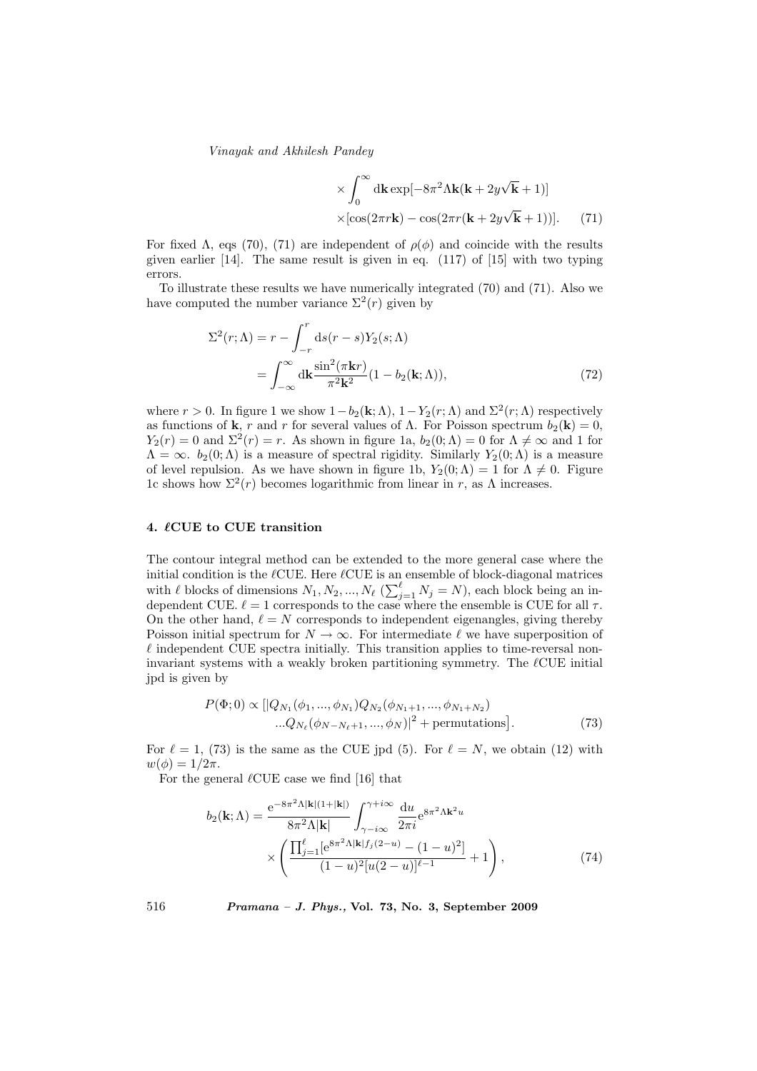$$
\times \int_0^\infty \mathrm{d}\mathbf{k} \exp[-8\pi^2 \Lambda \mathbf{k}(\mathbf{k} + 2y\sqrt{\mathbf{k}} + 1)]
$$
  
 
$$
\times [\cos(2\pi r \mathbf{k}) - \cos(2\pi r(\mathbf{k} + 2y\sqrt{\mathbf{k}} + 1))].
$$
 (71)

For fixed  $\Lambda$ , eqs (70), (71) are independent of  $\rho(\phi)$  and coincide with the results given earlier [14]. The same result is given in eq. (117) of [15] with two typing errors.

To illustrate these results we have numerically integrated (70) and (71). Also we have computed the number variance  $\Sigma^2(r)$  given by

$$
\Sigma^{2}(r;\Lambda) = r - \int_{-r}^{r} ds(r-s)Y_{2}(s;\Lambda)
$$

$$
= \int_{-\infty}^{\infty} dk \frac{\sin^{2}(\pi \mathbf{k}r)}{\pi^{2} \mathbf{k}^{2}} (1 - b_{2}(\mathbf{k};\Lambda)), \tag{72}
$$

where  $r > 0$ . In figure 1 we show  $1 - b_2(\mathbf{k}; \Lambda)$ ,  $1 - Y_2(r; \Lambda)$  and  $\Sigma^2(r; \Lambda)$  respectively as functions of **k**, r and r for several values of  $\Lambda$ . For Poisson spectrum  $b_2(\mathbf{k}) = 0$ ,  $Y_2(r) = 0$  and  $\Sigma^2(r) = r$ . As shown in figure 1a,  $b_2(0; \Lambda) = 0$  for  $\Lambda \neq \infty$  and 1 for  $\Lambda = \infty$ .  $b_2(0;\Lambda)$  is a measure of spectral rigidity. Similarly  $Y_2(0;\Lambda)$  is a measure of level repulsion. As we have shown in figure 1b,  $Y_2(0;\Lambda) = 1$  for  $\Lambda \neq 0$ . Figure 1c shows how  $\Sigma^2(r)$  becomes logarithmic from linear in r, as  $\Lambda$  increases.

### 4.  $\ell$ CUE to CUE transition

The contour integral method can be extended to the more general case where the initial condition is the  $\ell$ CUE. Here  $\ell$ CUE is an ensemble of block-diagonal matrices with  $\ell$  blocks of dimensions  $N_1, N_2, ..., N_\ell$  ( $\sum_{j=1}^\ell N_j = N$ ), each block being an independent CUE.  $\ell = 1$  corresponds to the case where the ensemble is CUE for all  $\tau$ . On the other hand,  $\ell = N$  corresponds to independent eigenangles, giving thereby Poisson initial spectrum for  $N \to \infty$ . For intermediate  $\ell$  we have superposition of  $\ell$  independent CUE spectra initially. This transition applies to time-reversal noninvariant systems with a weakly broken partitioning symmetry. The  $\ell$ CUE initial jpd is given by

$$
P(\Phi;0) \propto [Q_{N_1}(\phi_1,...,\phi_{N_1})Q_{N_2}(\phi_{N_1+1},...,\phi_{N_1+N_2})
$$
  
... $Q_{N_\ell}(\phi_{N-N_\ell+1},...,\phi_N)|^2$  + permutations]. (73)

For  $\ell = 1$ , (73) is the same as the CUE jpd (5). For  $\ell = N$ , we obtain (12) with  $w(\phi) = 1/2\pi$ .

For the general  $\ell$ CUE case we find [16] that

$$
b_2(\mathbf{k};\Lambda) = \frac{e^{-8\pi^2\Lambda|\mathbf{k}|(1+|\mathbf{k}|)}}{8\pi^2\Lambda|\mathbf{k}|} \int_{\gamma-i\infty}^{\gamma+i\infty} \frac{du}{2\pi i} e^{8\pi^2\Lambda \mathbf{k}^2 u} \times \left( \frac{\prod_{j=1}^{\ell} [e^{8\pi^2\Lambda|\mathbf{k}|f_j(2-u)} - (1-u)^2]}{(1-u)^2[u(2-u)]^{\ell-1}} + 1 \right), \tag{74}
$$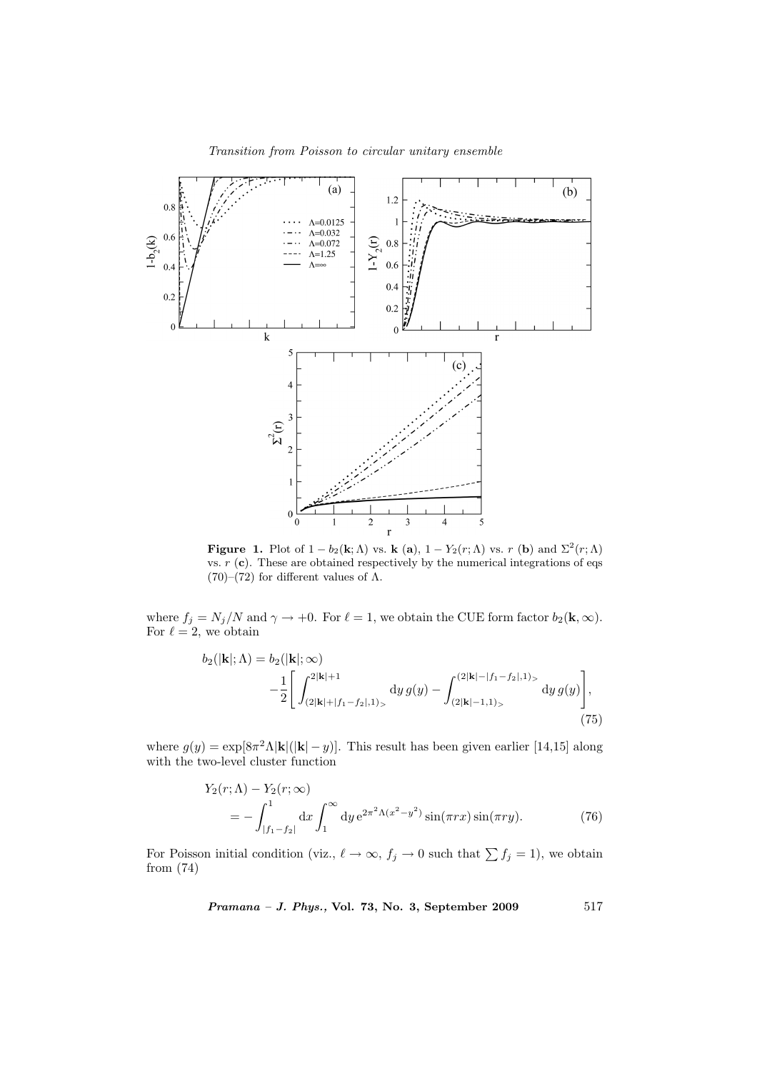

**Figure 1.** Plot of  $1 - b_2(\mathbf{k}; \Lambda)$  vs. **k** (a),  $1 - Y_2(r; \Lambda)$  vs. r (b) and  $\Sigma^2(r; \Lambda)$ vs.  $r(\mathbf{c})$ . These are obtained respectively by the numerical integrations of eqs (70)–(72) for different values of  $Λ$ .

where  $f_j = N_j/N$  and  $\gamma \to +0$ . For  $\ell = 1$ , we obtain the CUE form factor  $b_2(\mathbf{k}, \infty)$ . For  $\ell = 2$ , we obtain

$$
b_2(|\mathbf{k}|;\Lambda) = b_2(|\mathbf{k}|;\infty)
$$
  
 
$$
-\frac{1}{2} \Bigg[ \int_{(2|\mathbf{k}|+|f_1-f_2|,1)_{>}}^{2|\mathbf{k}|+1} dy g(y) - \int_{(2|\mathbf{k}|-1,1)_{>}}^{(2|\mathbf{k}|-|f_1-f_2|,1)_{>}} dy g(y) \Bigg],
$$
  
(75)

where  $g(y) = \exp[8\pi^2 \Lambda |\mathbf{k}| (|\mathbf{k}| - y)].$  This result has been given earlier [14,15] along with the two-level cluster function

$$
Y_2(r;\Lambda) - Y_2(r;\infty)
$$
  
=  $-\int_{|f_1 - f_2|}^{1} dx \int_1^{\infty} dy e^{2\pi^2 \Lambda (x^2 - y^2)} \sin(\pi r x) \sin(\pi r y).$  (76)

For Poisson initial condition (viz.,  $\ell \to \infty$ ,  $f_j \to 0$  such that  $\sum f_j = 1$ ), we obtain from (74)

 $Pramana - J. Phys., Vol. 73, No. 3, September 2009  $517$$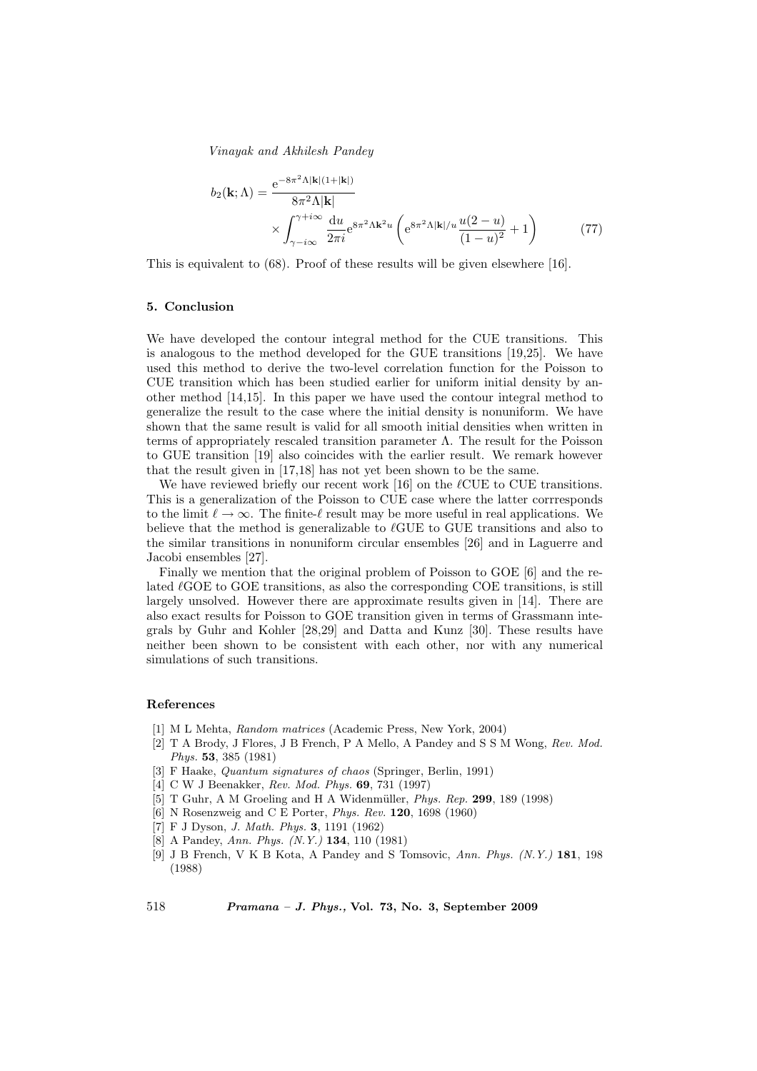$$
b_2(\mathbf{k};\Lambda) = \frac{e^{-8\pi^2\Lambda|\mathbf{k}|(1+|\mathbf{k}|)}}{8\pi^2\Lambda|\mathbf{k}|} \times \int_{\gamma-i\infty}^{\gamma+i\infty} \frac{du}{2\pi i} e^{8\pi^2\Lambda \mathbf{k}^2 u} \left(e^{8\pi^2\Lambda|\mathbf{k}|/u} \frac{u(2-u)}{(1-u)^2} + 1\right)
$$
(77)

This is equivalent to (68). Proof of these results will be given elsewhere [16].

# 5. Conclusion

We have developed the contour integral method for the CUE transitions. This is analogous to the method developed for the GUE transitions [19,25]. We have used this method to derive the two-level correlation function for the Poisson to CUE transition which has been studied earlier for uniform initial density by another method [14,15]. In this paper we have used the contour integral method to generalize the result to the case where the initial density is nonuniform. We have shown that the same result is valid for all smooth initial densities when written in terms of appropriately rescaled transition parameter  $\Lambda$ . The result for the Poisson to GUE transition [19] also coincides with the earlier result. We remark however that the result given in [17,18] has not yet been shown to be the same.

We have reviewed briefly our recent work  $[16]$  on the  $\ell$ CUE to CUE transitions. This is a generalization of the Poisson to CUE case where the latter corrresponds to the limit  $\ell \to \infty$ . The finite- $\ell$  result may be more useful in real applications. We believe that the method is generalizable to  $\ell$ GUE to GUE transitions and also to the similar transitions in nonuniform circular ensembles [26] and in Laguerre and Jacobi ensembles [27].

Finally we mention that the original problem of Poisson to GOE [6] and the related  $\ell$ GOE to GOE transitions, as also the corresponding COE transitions, is still largely unsolved. However there are approximate results given in [14]. There are also exact results for Poisson to GOE transition given in terms of Grassmann integrals by Guhr and Kohler [28,29] and Datta and Kunz [30]. These results have neither been shown to be consistent with each other, nor with any numerical simulations of such transitions.

### References

- [1] M L Mehta, Random matrices (Academic Press, New York, 2004)
- [2] T A Brody, J Flores, J B French, P A Mello, A Pandey and S S M Wong, Rev. Mod. Phys. 53, 385 (1981)
- [3] F Haake, Quantum signatures of chaos (Springer, Berlin, 1991)
- [4] C W J Beenakker, Rev. Mod. Phys. 69, 731 (1997)
- [5] T Guhr, A M Groeling and H A Widenmüller,  $Phys. Rep. 299, 189 (1998)$
- [6] N Rosenzweig and C E Porter, Phys. Rev. 120, 1698 (1960)
- [7] F J Dyson, J. Math. Phys. 3, 1191 (1962)
- [8] A Pandey, Ann. Phys. (N.Y.) 134, 110 (1981)
- [9] J B French, V K B Kota, A Pandey and S Tomsovic, Ann. Phys. (N.Y.) 181, 198 (1988)